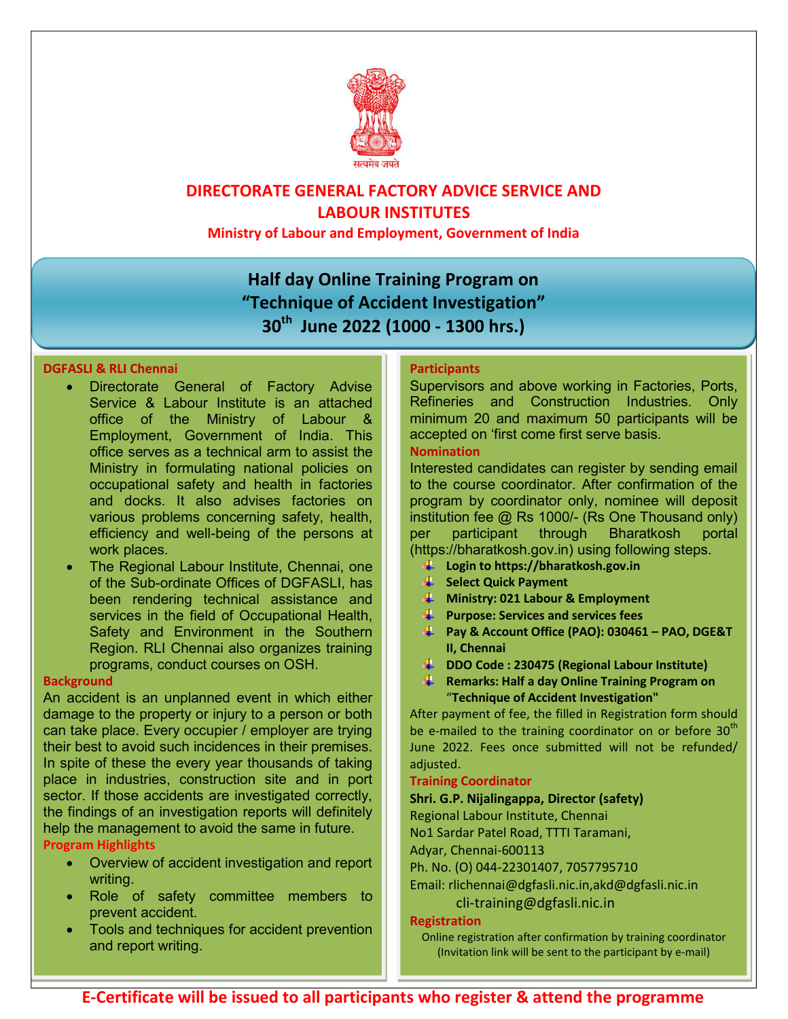

# **DIRECTORATE GENERAL FACTORY ADVICE SERVICE AND LABOUR INSTITUTES**

**Ministry of Labour and Employment, Government of India** 

# **Half day Online Training Program on "Technique of Accident Investigation" 30th June 2022 (1000 - 1300 hrs.)**

## **DGFASLI & RLI Chennai**

- Directorate General of Factory Advise Service & Labour Institute is an attached office of the Ministry of Labour & Employment, Government of India. This office serves as a technical arm to assist the Ministry in formulating national policies on occupational safety and health in factories and docks. It also advises factories on various problems concerning safety, health, efficiency and well-being of the persons at work places.
- The Regional Labour Institute, Chennai, one of the Sub-ordinate Offices of DGFASLI, has been rendering technical assistance and services in the field of Occupational Health, Safety and Environment in the Southern Region. RLI Chennai also organizes training programs, conduct courses on OSH.

## **Background**

An accident is an unplanned event in which either damage to the property or injury to a person or both can take place. Every occupier / employer are trying their best to avoid such incidences in their premises. In spite of these the every year thousands of taking place in industries, construction site and in port sector. If those accidents are investigated correctly, the findings of an investigation reports will definitely help the management to avoid the same in future.

## **Program Highlights**

- Overview of accident investigation and report writing.
- Role of safety committee members to prevent accident.
- Tools and techniques for accident prevention and report writing.

## **Participants**

Supervisors and above working in Factories, Ports, Refineries and Construction Industries. Only minimum 20 and maximum 50 participants will be accepted on 'first come first serve basis.

#### **Nomination**

Interested candidates can register by sending email to the course coordinator. After confirmation of the program by coordinator only, nominee will deposit institution fee @ Rs 1000/- (Rs One Thousand only) per participant through Bharatkosh portal (https://bharatkosh.gov.in) using following steps.

- **Login to https://bharatkosh.gov.in**
- **Select Quick Payment**
- **Ministry: 021 Labour & Employment**
- **Purpose: Services and services fees**
- **Pay & Account Office (PAO): 030461 – PAO, DGE&T II, Chennai**
- **DDO Code : 230475 (Regional Labour Institute)**
- **Remarks: Half a day Online Training Program on**  "**Technique of Accident Investigation"**

After payment of fee, the filled in Registration form should be e-mailed to the training coordinator on or before  $30<sup>th</sup>$ June 2022. Fees once submitted will not be refunded/ adjusted.

#### **Training Coordinator**

#### **Shri. G.P. Nijalingappa, Director (safety)**

Regional Labour Institute, Chennai

No1 Sardar Patel Road, TTTI Taramani,

Adyar, Chennai-600113

Ph. No. (O) 044-22301407, 7057795710

Email: rlichennai@dgfasli.nic.in,akd@dgfasli.nic.in

## cli-training@dgfasli.nic.in

#### **Registration**

Online registration after confirmation by training coordinator (Invitation link will be sent to the participant by e-mail)